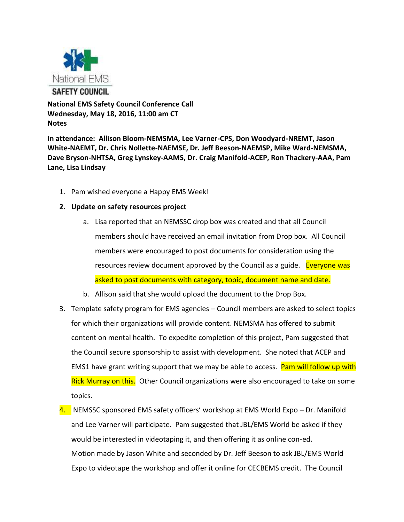

**National EMS Safety Council Conference Call Wednesday, May 18, 2016, 11:00 am CT Notes**

**In attendance: Allison Bloom-NEMSMA, Lee Varner-CPS, Don Woodyard-NREMT, Jason White-NAEMT, Dr. Chris Nollette-NAEMSE, Dr. Jeff Beeson-NAEMSP, Mike Ward-NEMSMA, Dave Bryson-NHTSA, Greg Lynskey-AAMS, Dr. Craig Manifold-ACEP, Ron Thackery-AAA, Pam Lane, Lisa Lindsay**

1. Pam wished everyone a Happy EMS Week!

## **2. Update on safety resources project**

- a. Lisa reported that an NEMSSC drop box was created and that all Council members should have received an email invitation from Drop box. All Council members were encouraged to post documents for consideration using the resources review document approved by the Council as a guide. Everyone was asked to post documents with category, topic, document name and date.
- b. Allison said that she would upload the document to the Drop Box.
- 3. Template safety program for EMS agencies Council members are asked to select topics for which their organizations will provide content. NEMSMA has offered to submit content on mental health. To expedite completion of this project, Pam suggested that the Council secure sponsorship to assist with development. She noted that ACEP and EMS1 have grant writing support that we may be able to access. Pam will follow up with Rick Murray on this. Other Council organizations were also encouraged to take on some topics.
- 4. NEMSSC sponsored EMS safety officers' workshop at EMS World Expo Dr. Manifold and Lee Varner will participate. Pam suggested that JBL/EMS World be asked if they would be interested in videotaping it, and then offering it as online con-ed. Motion made by Jason White and seconded by Dr. Jeff Beeson to ask JBL/EMS World Expo to videotape the workshop and offer it online for CECBEMS credit. The Council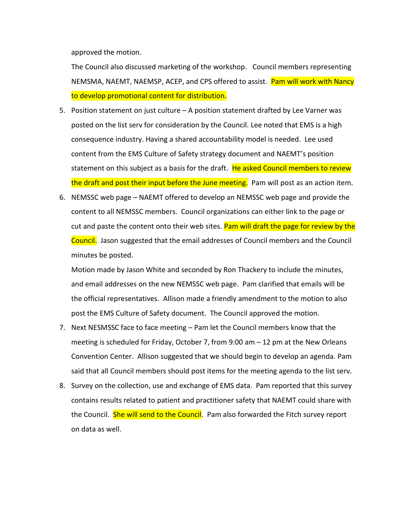approved the motion.

The Council also discussed marketing of the workshop. Council members representing NEMSMA, NAEMT, NAEMSP, ACEP, and CPS offered to assist. Pam will work with Nancy to develop promotional content for distribution.

- 5. Position statement on just culture A position statement drafted by Lee Varner was posted on the list serv for consideration by the Council. Lee noted that EMS is a high consequence industry. Having a shared accountability model is needed. Lee used content from the EMS Culture of Safety strategy document and NAEMT's position statement on this subject as a basis for the draft. He asked Council members to review the draft and post their input before the June meeting. Pam will post as an action item.
- 6. NEMSSC web page NAEMT offered to develop an NEMSSC web page and provide the content to all NEMSSC members. Council organizations can either link to the page or cut and paste the content onto their web sites. Pam will draft the page for review by the Council. Jason suggested that the email addresses of Council members and the Council minutes be posted.

Motion made by Jason White and seconded by Ron Thackery to include the minutes, and email addresses on the new NEMSSC web page. Pam clarified that emails will be the official representatives. Allison made a friendly amendment to the motion to also post the EMS Culture of Safety document. The Council approved the motion.

- 7. Next NESMSSC face to face meeting Pam let the Council members know that the meeting is scheduled for Friday, October 7, from 9:00 am – 12 pm at the New Orleans Convention Center. Allison suggested that we should begin to develop an agenda. Pam said that all Council members should post items for the meeting agenda to the list serv.
- 8. Survey on the collection, use and exchange of EMS data. Pam reported that this survey contains results related to patient and practitioner safety that NAEMT could share with the Council. She will send to the Council. Pam also forwarded the Fitch survey report on data as well.